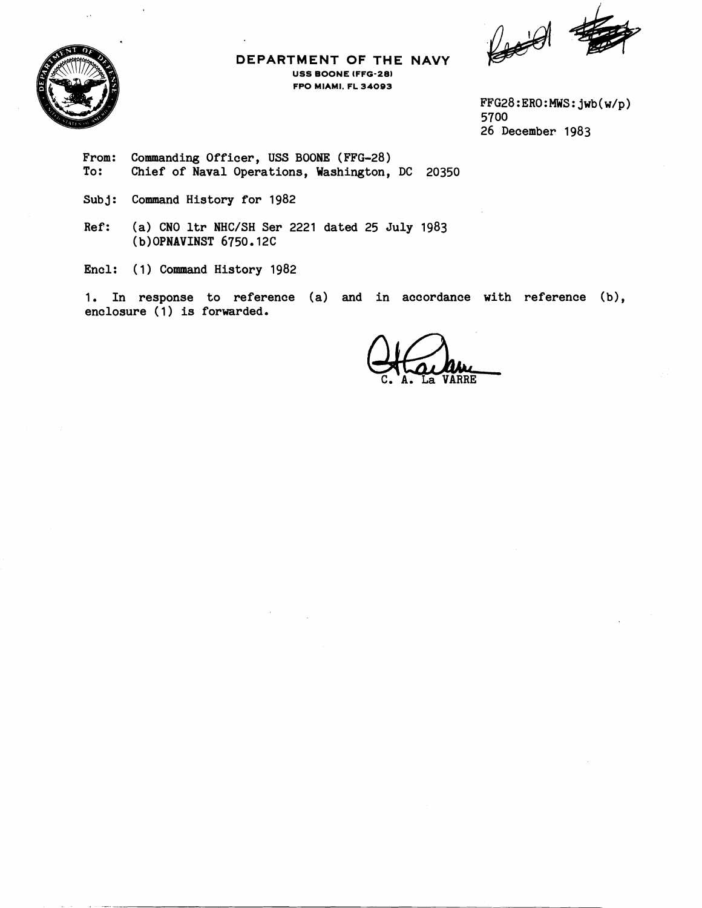$\ell$ 



# **DEPARTMENT OF THE NAVY USS BOONE IFFG-28) FPO MIAMI. FL 34093**

FFG28:ERO:MWS:jwb(w/p) 5700 26 December 1983

- From: Commanding Officer, USS BOONE (FFG-28)<br>To: Chief of Naval Operations, Washington, Chief of Naval Operations, Washington, DC 20350
- Subj: Command History for 1982
- Ref: (a) CNO ltr NHC/SH Ser 2221 dated 25 July 1983 ( b) OPNAVINST 6750.12C

Encl: (1) Command History 1982

1. In response to reference (a) and in accordance with reference (b), enclosure (1) is forwarded.

VÁRRE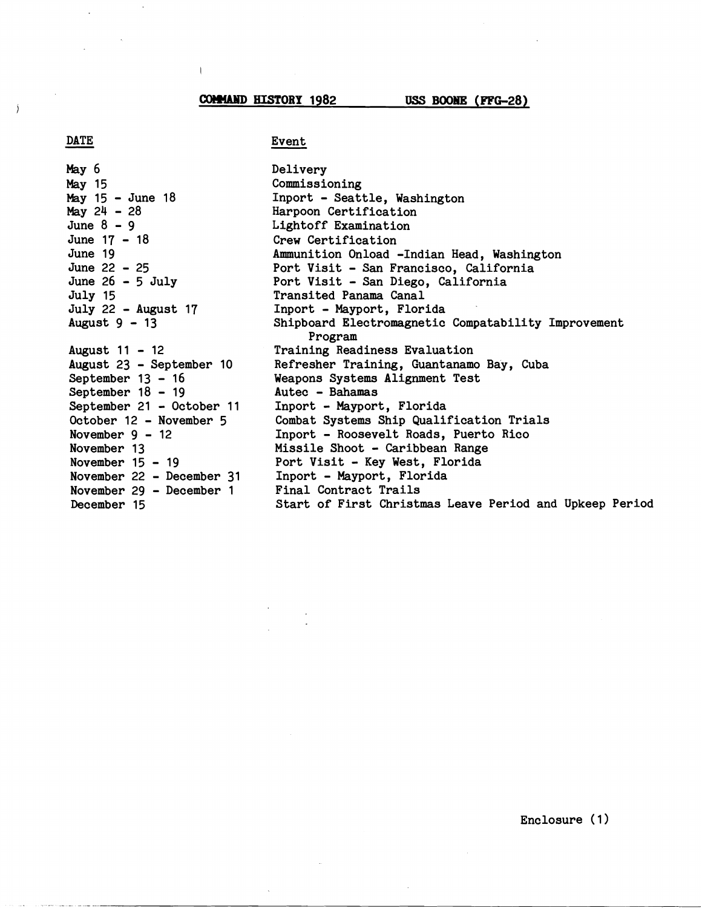**COMMAND HISTORY 1982** 

 $\mathbf{I}$ 

USS BOONE (FFG-28)

### **DATE**

 $\lambda$ 

# Event

**May** 6 May 15 May 15 - June 18  $May 24 - 28$ June  $8 - 9$ June 17 - <sup>18</sup> June 19 June 22 - <sup>25</sup> June  $26 - 5$  July July 15 July 22 - August 17 August **9** - <sup>13</sup> August 11 - <sup>12</sup> August 23 - September 10 September  $13 - 16$ September 18 - 19 September 21 - October 11 October 12 - November <sup>5</sup> November  $9 - 12$ November 13 November  $15 - 19$ November 22 - December 31 November 29 - December 1 December 15

Delivery Commissioning Inport - Seattle, Washington Harpoon Certification Lightoff Examination Crew Certification Ammunition Onload -Indian Head, Washington Port Visit - **San** Francisco, California Port Visit - San Diego, California Transited Panama Canal Inport - Mayport, Florida Shipboard Electromagnetic Compatability Improvement Program Training Readiness Evaluation Refresher Training, Guantanamo Bay, Cuba Weapons Systems Alignment Test Autec - Bahamas Inport - Mayport, Florida Combat Systems Ship Qualification Trials Inport - Roosevelt Roads, Puerto Rico Missile Shoot - Caribbean Range Port Visit - Key West, Florida Inport - Mayport, Florida Final Contract Trails Start of First Christmas Leave Period and Upkeep Period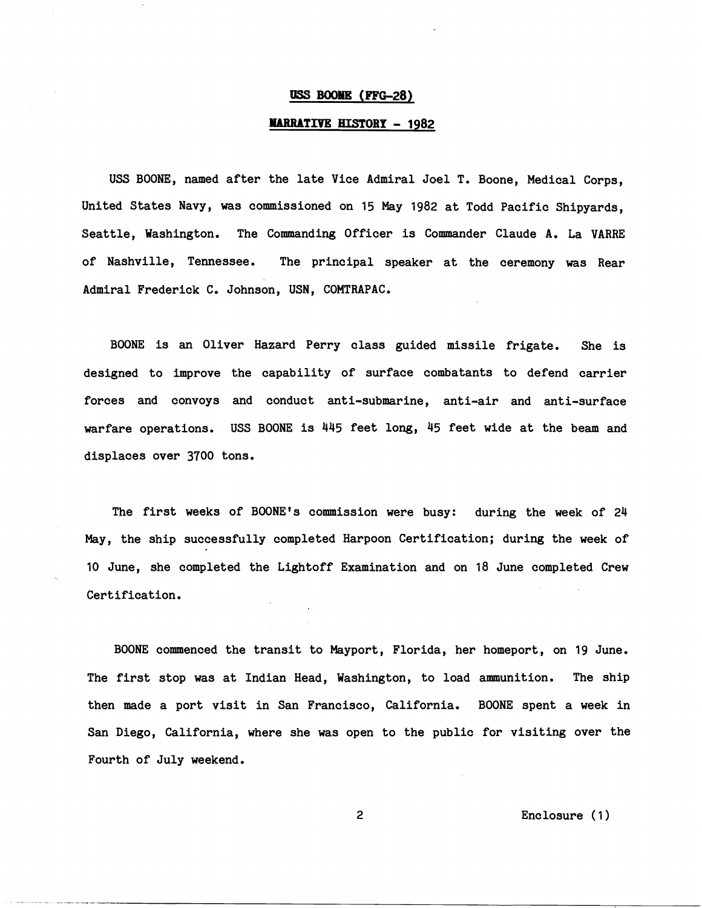### **USS BOOME (FFG-28)**

### **HARRATIVE HISTORY - 1982**

USS BOONE, named after the late Vice Admiral Joel T. Boone, Medical Corps, United States Navy, was commissioned on 15 May 1982 at Todd Pacific Shipyards, Seattle, Washington. The Commanding Officer is Commander Claude **A.** La VARRE of Nashville, Tennessee. The principal speaker at the ceremony was Rear Admiral Frederick C. Johnson, USN, COMTRAPAC.

BOONE is an Oliver Hazard Perry class guided missile frigate. She is designed to improve the capability of surface combatants to defend carrier forces and convoys and conduct anti-submarine, anti-air and anti-surface warfare operations. USS BOONE is 445 feet long, 45 feet wide at the beam and displaces over 3700 tons.

The first weeks of BOONE's commission were busy: during the week of 24 May, the ship successfully completed Harpoon Certification; during the week of 10 June, she completed the Lightoff Examination and on 18 June completed Crew Certification.

BOONE commenced the transit to Mayport, Florida, her homeport, on 19 June. The first stop was at Indian Head, Washington, to load ammunition. The ship then made a port visit in San Francisco, California. BOONE spent a week in San Diego, California, where she was open to the public for visiting over the Fourth of July weekend.

Enclosure ( 1 )

 $\overline{c}$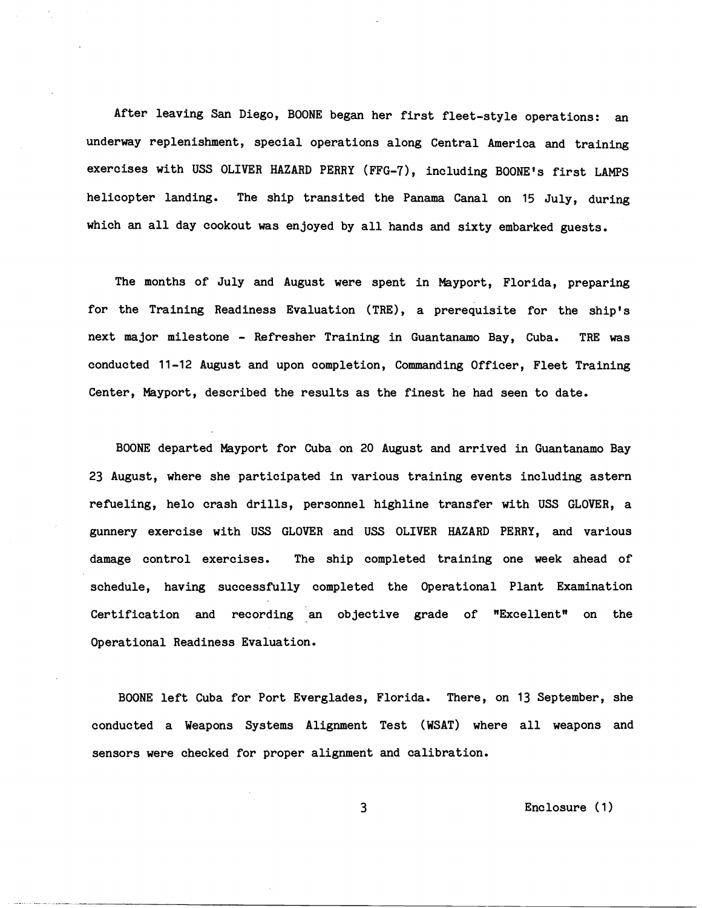After leaving San Diego, BOONE began her first fleet-style operations: an underway replenishment, special operations along Central America and training exercises with USS OLIVER HAZARD PERRY (FFG-7), including BOONE's first LAMPS helicopter landing. The ship transited the Panama Canal on 15 July, during which an all day cookout was enjoyed by all hands and sixty embarked guests.

The months of July and August were spent in Mayport, Florida, preparing for the Training Readiness Evaluation (TRE), a prerequisite for the ship's next major milestone - &fresher Training in Guantanamo Bay, Cuba. **TRE** was conducted **11-12** August and upon completion, Commanding Officer, Fleet Training Center, Mayport, described the results as the finest he had seen to date.

BOONE departed Mayport for Cuba on 20 August and arrived in Guantanamo Bay **23** August, where she participated in various training events including astern refueling, helo crash drills, personnel highline transfer with USS GLOVER, a gunnery exercise with USS GLOVER and USS OLIVER HAZARD PERRY, and various damage control exercises. The ship completed training one week ahead of schedule, having successfully completed the Operational Plant Examination Certification and recording an objective grade of "Excellent" on the Operational Readiness Evaluation.

BOONE left Cuba for Port Everglades, Florida. There, on **13** September, she conducted a Weapons Systems Alignment Test (WSAT) where all weapons and sensors were checked for proper alignment and calibration.

Enclosure ( **1** )

3